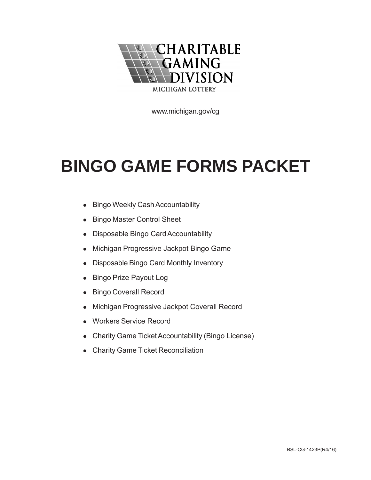

www.michigan.gov/cg

## **BINGO GAME FORMS PACKET**

- Bingo Weekly Cash Accountability
- Bingo Master Control Sheet
- Disposable Bingo Card Accountability
- Michigan Progressive Jackpot Bingo Game
- Disposable Bingo Card Monthly Inventory
- Bingo Prize Payout Log
- **Bingo Coverall Record**
- Michigan Progressive Jackpot Coverall Record
- Workers Service Record
- Charity Game Ticket Accountability (Bingo License)
- Charity Game Ticket Reconciliation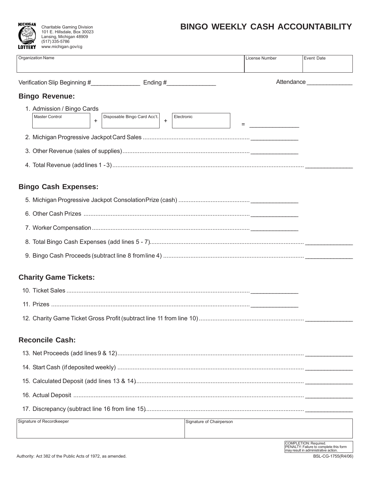## **BINGO WEEKLY CASH ACCOUNTABILITY**



101 E. Hillsdale, Box 30023 Lansing, Michigan 48909 (517) 335-5786 www.michigan.gov/cg

| <b>Organization Name</b>                                                               |                          | License Number | Event Date                 |
|----------------------------------------------------------------------------------------|--------------------------|----------------|----------------------------|
| Verification Slip Beginning #____________________ Ending #_________________            |                          |                | Attendance _______________ |
| <b>Bingo Revenue:</b>                                                                  |                          |                |                            |
| 1. Admission / Bingo Cards                                                             |                          |                |                            |
| Disposable Bingo Card Acc't.<br>Master Control<br>Electronic<br>$\ddot{}$<br>$\ddot{}$ |                          |                |                            |
|                                                                                        |                          |                |                            |
|                                                                                        |                          |                |                            |
|                                                                                        |                          |                |                            |
| <b>Bingo Cash Expenses:</b>                                                            |                          |                |                            |
|                                                                                        |                          |                |                            |
|                                                                                        |                          |                |                            |
|                                                                                        |                          |                |                            |
|                                                                                        |                          |                |                            |
|                                                                                        |                          |                |                            |
| <b>Charity Game Tickets:</b>                                                           |                          |                |                            |
|                                                                                        |                          |                |                            |
|                                                                                        |                          |                |                            |
|                                                                                        |                          |                |                            |
| <b>Reconcile Cash:</b>                                                                 |                          |                |                            |
|                                                                                        |                          |                |                            |
|                                                                                        |                          |                |                            |
|                                                                                        |                          |                |                            |
|                                                                                        |                          |                |                            |
|                                                                                        |                          |                |                            |
| Signature of Recordkeeper                                                              | Signature of Chairperson |                |                            |
|                                                                                        |                          |                |                            |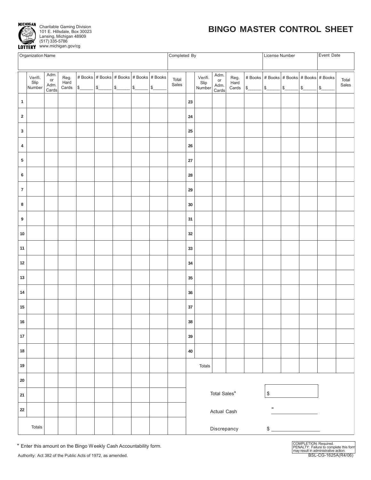

## **BINGO MASTER CONTROL SHEET**

|                         | Organization Name         |                             |              |                                                                                                                                                                           |  |                                                                  |                | Completed By<br>Event Date<br>License Number |                           |                             |                       |               |               |                                                                         |  |        |                |
|-------------------------|---------------------------|-----------------------------|--------------|---------------------------------------------------------------------------------------------------------------------------------------------------------------------------|--|------------------------------------------------------------------|----------------|----------------------------------------------|---------------------------|-----------------------------|-----------------------|---------------|---------------|-------------------------------------------------------------------------|--|--------|----------------|
|                         |                           |                             |              |                                                                                                                                                                           |  |                                                                  |                |                                              |                           |                             |                       |               |               |                                                                         |  |        |                |
|                         | Verifi.<br>Slip<br>Number | Adm.<br>or<br>Adm.<br>Cards | Reg.<br>Hard | # Books $ $ # Books $ $ # Books $ $ # Books $ $ # Books<br>Cards $\frac{\sqrt{2}}{2}$ $\frac{\sqrt{2}}{2}$ $\frac{\sqrt{2}}{2}$ $\frac{\sqrt{2}}{2}$ $\frac{\sqrt{2}}{2}$ |  | $\ensuremath{\mathsf{I}}\xspace\ensuremath{\mathsf{S}}\xspace_-$ | Total<br>Sales |                                              | Verifi.<br>Slip<br>Number | Adm.<br>or<br>Adm.<br>Cards | Reg.<br>Hard<br>Cards | $\frac{1}{2}$ | $\frac{1}{2}$ | # Books   # Books   # Books   # Books   # Books<br>$\frac{\sqrt{2}}{2}$ |  | $\sim$ | Total<br>Sales |
| $\mathbf{1}$            |                           |                             |              |                                                                                                                                                                           |  |                                                                  |                | 23                                           |                           |                             |                       |               |               |                                                                         |  |        |                |
| $\overline{\mathbf{2}}$ |                           |                             |              |                                                                                                                                                                           |  |                                                                  |                | ${\bf 24}$                                   |                           |                             |                       |               |               |                                                                         |  |        |                |
| $\mathbf{3}$            |                           |                             |              |                                                                                                                                                                           |  |                                                                  |                | 25                                           |                           |                             |                       |               |               |                                                                         |  |        |                |
| 4                       |                           |                             |              |                                                                                                                                                                           |  |                                                                  |                | ${\bf 26}$                                   |                           |                             |                       |               |               |                                                                         |  |        |                |
| ${\bf 5}$               |                           |                             |              |                                                                                                                                                                           |  |                                                                  |                | $27\,$                                       |                           |                             |                       |               |               |                                                                         |  |        |                |
| $\bf 6$                 |                           |                             |              |                                                                                                                                                                           |  |                                                                  |                | 28                                           |                           |                             |                       |               |               |                                                                         |  |        |                |
| $\overline{\mathbf{7}}$ |                           |                             |              |                                                                                                                                                                           |  |                                                                  |                | 29                                           |                           |                             |                       |               |               |                                                                         |  |        |                |
| 8                       |                           |                             |              |                                                                                                                                                                           |  |                                                                  |                | $30\,$                                       |                           |                             |                       |               |               |                                                                         |  |        |                |
| $\boldsymbol{9}$        |                           |                             |              |                                                                                                                                                                           |  |                                                                  |                | 31                                           |                           |                             |                       |               |               |                                                                         |  |        |                |
| $10\,$                  |                           |                             |              |                                                                                                                                                                           |  |                                                                  |                | $32\,$                                       |                           |                             |                       |               |               |                                                                         |  |        |                |
| 11                      |                           |                             |              |                                                                                                                                                                           |  |                                                                  |                | 33                                           |                           |                             |                       |               |               |                                                                         |  |        |                |
| $12\,$                  |                           |                             |              |                                                                                                                                                                           |  |                                                                  |                | 34                                           |                           |                             |                       |               |               |                                                                         |  |        |                |
| $13\,$                  |                           |                             |              |                                                                                                                                                                           |  |                                                                  |                | 35                                           |                           |                             |                       |               |               |                                                                         |  |        |                |
| 14                      |                           |                             |              |                                                                                                                                                                           |  |                                                                  |                | $36\,$                                       |                           |                             |                       |               |               |                                                                         |  |        |                |
| $15\,$                  |                           |                             |              |                                                                                                                                                                           |  |                                                                  |                | $37\,$                                       |                           |                             |                       |               |               |                                                                         |  |        |                |
| ${\bf 16}$              |                           |                             |              |                                                                                                                                                                           |  |                                                                  |                | 38                                           |                           |                             |                       |               |               |                                                                         |  |        |                |
| $17\,$                  |                           |                             |              |                                                                                                                                                                           |  |                                                                  |                | 39                                           |                           |                             |                       |               |               |                                                                         |  |        |                |
| $18\,$                  |                           |                             |              |                                                                                                                                                                           |  |                                                                  |                | $40\,$                                       |                           |                             |                       |               |               |                                                                         |  |        |                |
| 19                      |                           |                             |              |                                                                                                                                                                           |  |                                                                  |                |                                              | Totals                    |                             |                       |               |               |                                                                         |  |        |                |
| 20                      |                           |                             |              |                                                                                                                                                                           |  |                                                                  |                |                                              |                           |                             |                       |               |               |                                                                         |  |        |                |
| 21                      |                           |                             |              |                                                                                                                                                                           |  |                                                                  |                | Total Sales*<br>$\mathbb{S}$                 |                           |                             |                       |               |               |                                                                         |  |        |                |
| 22                      |                           |                             |              |                                                                                                                                                                           |  |                                                                  |                |                                              |                           | Actual Cash                 |                       |               |               |                                                                         |  |        |                |
|                         | Totals                    |                             |              |                                                                                                                                                                           |  |                                                                  |                | Discrepancy<br>$\qquad \qquad \$$            |                           |                             |                       |               |               |                                                                         |  |        |                |

\* Enter this amount on the Bingo Weekly Cash Accountability form.

BSL-CG-1625A(R4/06) COMPLETION: Required. PENALTY: Failure to complete this form may result in administrative action.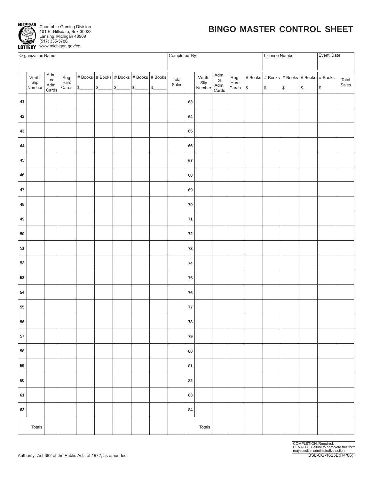

| <b>Organization Name</b> |                           |                             |              |                      |  |  |                                         | Completed By   |            |                           |                             |                       |                                                                                                                                                                                                                                          | License Number |  | Event Date |                |
|--------------------------|---------------------------|-----------------------------|--------------|----------------------|--|--|-----------------------------------------|----------------|------------|---------------------------|-----------------------------|-----------------------|------------------------------------------------------------------------------------------------------------------------------------------------------------------------------------------------------------------------------------------|----------------|--|------------|----------------|
|                          | Verifi.<br>Slip<br>Number | Adm.<br>or<br>Adm.<br>Cards | Reg.<br>Hard | Cards \$ \$ \$ \$ \$ |  |  | # Books # Books # Books # Books # Books | Total<br>Sales |            | Verifi.<br>Slip<br>Number | Adm.<br>or<br>Adm.<br>Cards | Reg.<br>Hard<br>Cards | $ $ # Books $ $ # Books $ $ # Books $ $ # Books $ $ # Books<br>$\frac{\frac{1}{3}}{\frac{1}{100}} \frac{\frac{1}{3}}{\frac{1}{100}} \frac{\frac{1}{3}}{\frac{1}{100}} \frac{\frac{1}{3}}{\frac{1}{100}} \frac{\frac{1}{3}}{\frac{1}{3}}$ |                |  |            | Total<br>Sales |
| $41\,$                   |                           |                             |              |                      |  |  |                                         |                | 63         |                           |                             |                       |                                                                                                                                                                                                                                          |                |  |            |                |
| 42                       |                           |                             |              |                      |  |  |                                         |                | 64         |                           |                             |                       |                                                                                                                                                                                                                                          |                |  |            |                |
| 43                       |                           |                             |              |                      |  |  |                                         |                | 65         |                           |                             |                       |                                                                                                                                                                                                                                          |                |  |            |                |
| 44                       |                           |                             |              |                      |  |  |                                         |                | 66         |                           |                             |                       |                                                                                                                                                                                                                                          |                |  |            |                |
| 45                       |                           |                             |              |                      |  |  |                                         |                | 67         |                           |                             |                       |                                                                                                                                                                                                                                          |                |  |            |                |
| 46                       |                           |                             |              |                      |  |  |                                         |                | 68         |                           |                             |                       |                                                                                                                                                                                                                                          |                |  |            |                |
| 47                       |                           |                             |              |                      |  |  |                                         |                | 69         |                           |                             |                       |                                                                                                                                                                                                                                          |                |  |            |                |
| 48                       |                           |                             |              |                      |  |  |                                         |                | ${\bf 70}$ |                           |                             |                       |                                                                                                                                                                                                                                          |                |  |            |                |
| 49                       |                           |                             |              |                      |  |  |                                         |                | $71$       |                           |                             |                       |                                                                                                                                                                                                                                          |                |  |            |                |
| 50                       |                           |                             |              |                      |  |  |                                         |                | ${\bf 72}$ |                           |                             |                       |                                                                                                                                                                                                                                          |                |  |            |                |
| 51                       |                           |                             |              |                      |  |  |                                         |                | 73         |                           |                             |                       |                                                                                                                                                                                                                                          |                |  |            |                |
| 52                       |                           |                             |              |                      |  |  |                                         |                | ${\bf 74}$ |                           |                             |                       |                                                                                                                                                                                                                                          |                |  |            |                |
| 53                       |                           |                             |              |                      |  |  |                                         |                | ${\bf 75}$ |                           |                             |                       |                                                                                                                                                                                                                                          |                |  |            |                |
| 54                       |                           |                             |              |                      |  |  |                                         |                | ${\bf 76}$ |                           |                             |                       |                                                                                                                                                                                                                                          |                |  |            |                |
| 55                       |                           |                             |              |                      |  |  |                                         |                | ${\bf 77}$ |                           |                             |                       |                                                                                                                                                                                                                                          |                |  |            |                |
| ${\bf 56}$               |                           |                             |              |                      |  |  |                                         |                | 78         |                           |                             |                       |                                                                                                                                                                                                                                          |                |  |            |                |
| 57                       |                           |                             |              |                      |  |  |                                         |                | 79         |                           |                             |                       |                                                                                                                                                                                                                                          |                |  |            |                |
| 58                       |                           |                             |              |                      |  |  |                                         |                | ${\bf 80}$ |                           |                             |                       |                                                                                                                                                                                                                                          |                |  |            |                |
| 59                       |                           |                             |              |                      |  |  |                                         |                | 81         |                           |                             |                       |                                                                                                                                                                                                                                          |                |  |            |                |
| 60                       |                           |                             |              |                      |  |  |                                         |                | 82         |                           |                             |                       |                                                                                                                                                                                                                                          |                |  |            |                |
| 61                       |                           |                             |              |                      |  |  |                                         |                | 83         |                           |                             |                       |                                                                                                                                                                                                                                          |                |  |            |                |
| 62                       |                           |                             |              |                      |  |  |                                         |                | 84         |                           |                             |                       |                                                                                                                                                                                                                                          |                |  |            |                |
|                          | Totals                    |                             |              |                      |  |  |                                         |                |            | Totals                    |                             |                       |                                                                                                                                                                                                                                          |                |  |            |                |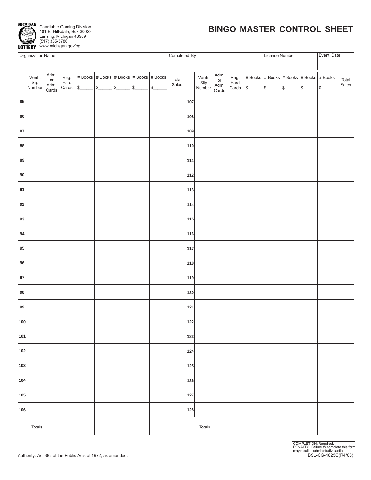

| Organization Name |                           |                                                     |              |                                                         |  |  |  |   | Completed By   |     |                           |                             |                                  | License Number |  | Event Date                                               |                |
|-------------------|---------------------------|-----------------------------------------------------|--------------|---------------------------------------------------------|--|--|--|---|----------------|-----|---------------------------|-----------------------------|----------------------------------|----------------|--|----------------------------------------------------------|----------------|
|                   |                           |                                                     |              |                                                         |  |  |  |   |                |     |                           |                             |                                  |                |  |                                                          |                |
|                   | Verifi.<br>Slip<br>Number | Adm.<br>$\mathop{\sf or}\nolimits$<br>Adm.<br>Cards | Reg.<br>Hard | # Books $ $ # Books $ $ # Books $ $ # Books $ $ # Books |  |  |  | s | Total<br>Sales |     | Verifi.<br>Slip<br>Number | Adm.<br>or<br>Adm.<br>Cards | Reg.<br>Hard<br>$\textsf{Cards}$ |                |  | # Books # Books # Books # Books # Books<br>$\frac{1}{2}$ | Total<br>Sales |
| 85                |                           |                                                     |              |                                                         |  |  |  |   |                | 107 |                           |                             |                                  |                |  |                                                          |                |
| 86                |                           |                                                     |              |                                                         |  |  |  |   |                | 108 |                           |                             |                                  |                |  |                                                          |                |
| 87                |                           |                                                     |              |                                                         |  |  |  |   |                | 109 |                           |                             |                                  |                |  |                                                          |                |
| 88                |                           |                                                     |              |                                                         |  |  |  |   |                | 110 |                           |                             |                                  |                |  |                                                          |                |
| 89                |                           |                                                     |              |                                                         |  |  |  |   |                | 111 |                           |                             |                                  |                |  |                                                          |                |
| $90\,$            |                           |                                                     |              |                                                         |  |  |  |   |                | 112 |                           |                             |                                  |                |  |                                                          |                |
| 91                |                           |                                                     |              |                                                         |  |  |  |   |                | 113 |                           |                             |                                  |                |  |                                                          |                |
| 92                |                           |                                                     |              |                                                         |  |  |  |   |                | 114 |                           |                             |                                  |                |  |                                                          |                |
| 93                |                           |                                                     |              |                                                         |  |  |  |   |                | 115 |                           |                             |                                  |                |  |                                                          |                |
| 94                |                           |                                                     |              |                                                         |  |  |  |   |                | 116 |                           |                             |                                  |                |  |                                                          |                |
| 95                |                           |                                                     |              |                                                         |  |  |  |   |                | 117 |                           |                             |                                  |                |  |                                                          |                |
| 96                |                           |                                                     |              |                                                         |  |  |  |   |                | 118 |                           |                             |                                  |                |  |                                                          |                |
| $97\,$            |                           |                                                     |              |                                                         |  |  |  |   |                | 119 |                           |                             |                                  |                |  |                                                          |                |
| 98                |                           |                                                     |              |                                                         |  |  |  |   |                | 120 |                           |                             |                                  |                |  |                                                          |                |
| 99                |                           |                                                     |              |                                                         |  |  |  |   |                | 121 |                           |                             |                                  |                |  |                                                          |                |
| 100               |                           |                                                     |              |                                                         |  |  |  |   |                | 122 |                           |                             |                                  |                |  |                                                          |                |
| 101               |                           |                                                     |              |                                                         |  |  |  |   |                | 123 |                           |                             |                                  |                |  |                                                          |                |
| 102               |                           |                                                     |              |                                                         |  |  |  |   |                | 124 |                           |                             |                                  |                |  |                                                          |                |
| 103               |                           |                                                     |              |                                                         |  |  |  |   |                | 125 |                           |                             |                                  |                |  |                                                          |                |
| 104               |                           |                                                     |              |                                                         |  |  |  |   |                | 126 |                           |                             |                                  |                |  |                                                          |                |
| 105               |                           |                                                     |              |                                                         |  |  |  |   |                | 127 |                           |                             |                                  |                |  |                                                          |                |
| 106               |                           |                                                     |              |                                                         |  |  |  |   |                | 128 |                           |                             |                                  |                |  |                                                          |                |
|                   | Totals                    |                                                     |              |                                                         |  |  |  |   |                |     | Totals                    |                             |                                  |                |  |                                                          |                |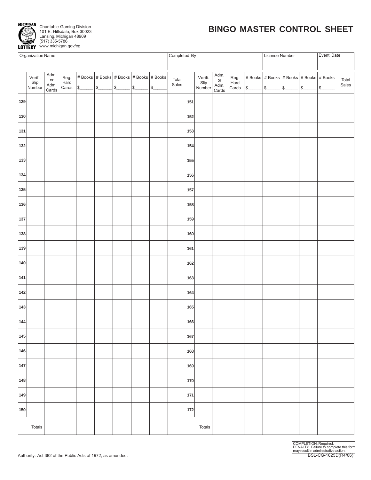

| Organization Name |                           |                                                     |                       |                                                                      |  |                                                 |  |                                  | Completed By   |     |                           |                             |                                  |        | License Number |                                                 | Event Date    |                |
|-------------------|---------------------------|-----------------------------------------------------|-----------------------|----------------------------------------------------------------------|--|-------------------------------------------------|--|----------------------------------|----------------|-----|---------------------------|-----------------------------|----------------------------------|--------|----------------|-------------------------------------------------|---------------|----------------|
|                   |                           |                                                     |                       |                                                                      |  |                                                 |  |                                  |                |     |                           |                             |                                  |        |                |                                                 |               |                |
|                   | Verifi.<br>Slip<br>Number | Adm.<br>$\mathop{\sf or}\nolimits$<br>Adm.<br>Cards | Reg.<br>Hard<br>Cards | $\frac{\sqrt{25}}{25}$ $\frac{\sqrt{25}}{25}$ $\frac{\sqrt{25}}{25}$ |  | # Books   # Books   # Books   # Books   # Books |  | $ \ensuremath{\mathfrak{s}}_{-}$ | Total<br>Sales |     | Verifi.<br>Slip<br>Number | Adm.<br>or<br>Adm.<br>Cards | Reg.<br>Hard<br>$\textsf{Cards}$ | $\int$ | $\frac{1}{2}$  | # Books   # Books   # Books   # Books   # Books | $\frac{1}{2}$ | Total<br>Sales |
| 129               |                           |                                                     |                       |                                                                      |  |                                                 |  |                                  |                | 151 |                           |                             |                                  |        |                |                                                 |               |                |
| 130               |                           |                                                     |                       |                                                                      |  |                                                 |  |                                  |                | 152 |                           |                             |                                  |        |                |                                                 |               |                |
| 131               |                           |                                                     |                       |                                                                      |  |                                                 |  |                                  |                | 153 |                           |                             |                                  |        |                |                                                 |               |                |
| 132               |                           |                                                     |                       |                                                                      |  |                                                 |  |                                  |                | 154 |                           |                             |                                  |        |                |                                                 |               |                |
| 133               |                           |                                                     |                       |                                                                      |  |                                                 |  |                                  |                | 155 |                           |                             |                                  |        |                |                                                 |               |                |
| 134               |                           |                                                     |                       |                                                                      |  |                                                 |  |                                  |                | 156 |                           |                             |                                  |        |                |                                                 |               |                |
| 135               |                           |                                                     |                       |                                                                      |  |                                                 |  |                                  |                | 157 |                           |                             |                                  |        |                |                                                 |               |                |
| 136               |                           |                                                     |                       |                                                                      |  |                                                 |  |                                  |                | 158 |                           |                             |                                  |        |                |                                                 |               |                |
| 137               |                           |                                                     |                       |                                                                      |  |                                                 |  |                                  |                | 159 |                           |                             |                                  |        |                |                                                 |               |                |
| 138               |                           |                                                     |                       |                                                                      |  |                                                 |  |                                  |                | 160 |                           |                             |                                  |        |                |                                                 |               |                |
| 139               |                           |                                                     |                       |                                                                      |  |                                                 |  |                                  |                | 161 |                           |                             |                                  |        |                |                                                 |               |                |
| 140               |                           |                                                     |                       |                                                                      |  |                                                 |  |                                  |                | 162 |                           |                             |                                  |        |                |                                                 |               |                |
| 141               |                           |                                                     |                       |                                                                      |  |                                                 |  |                                  |                | 163 |                           |                             |                                  |        |                |                                                 |               |                |
| 142               |                           |                                                     |                       |                                                                      |  |                                                 |  |                                  |                | 164 |                           |                             |                                  |        |                |                                                 |               |                |
| 143               |                           |                                                     |                       |                                                                      |  |                                                 |  |                                  |                | 165 |                           |                             |                                  |        |                |                                                 |               |                |
| 144               |                           |                                                     |                       |                                                                      |  |                                                 |  |                                  |                | 166 |                           |                             |                                  |        |                |                                                 |               |                |
| 145               |                           |                                                     |                       |                                                                      |  |                                                 |  |                                  |                | 167 |                           |                             |                                  |        |                |                                                 |               |                |
| 146               |                           |                                                     |                       |                                                                      |  |                                                 |  |                                  |                | 168 |                           |                             |                                  |        |                |                                                 |               |                |
| 147               |                           |                                                     |                       |                                                                      |  |                                                 |  |                                  |                | 169 |                           |                             |                                  |        |                |                                                 |               |                |
| 148               |                           |                                                     |                       |                                                                      |  |                                                 |  |                                  |                | 170 |                           |                             |                                  |        |                |                                                 |               |                |
| 149               |                           |                                                     |                       |                                                                      |  |                                                 |  |                                  |                | 171 |                           |                             |                                  |        |                |                                                 |               |                |
| 150               |                           |                                                     |                       |                                                                      |  |                                                 |  |                                  |                | 172 |                           |                             |                                  |        |                |                                                 |               |                |
|                   | Totals                    |                                                     |                       |                                                                      |  |                                                 |  |                                  |                |     | Totals                    |                             |                                  |        |                |                                                 |               |                |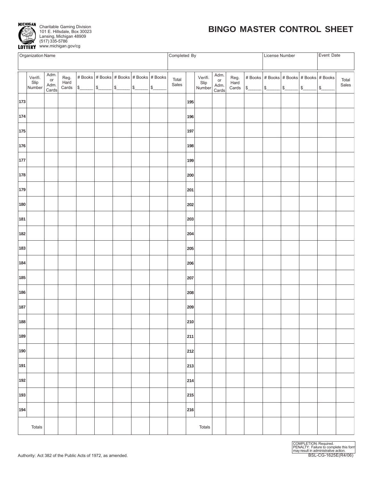

| Organization Name |                           |                             |                       |  |                                                         |  |   |               | Completed By   |     |                           |                             |                                  |               | License Number |                                                 |               | Event Date    |                |
|-------------------|---------------------------|-----------------------------|-----------------------|--|---------------------------------------------------------|--|---|---------------|----------------|-----|---------------------------|-----------------------------|----------------------------------|---------------|----------------|-------------------------------------------------|---------------|---------------|----------------|
|                   |                           |                             |                       |  |                                                         |  |   |               |                |     |                           |                             |                                  |               |                |                                                 |               |               |                |
|                   | Verifi.<br>Slip<br>Number | Adm.<br>or<br>Adm.<br>Cards | Reg.<br>Hard<br>Cards |  | # Books $ $ # Books $ $ # Books $ $ # Books $ $ # Books |  | s | $\mathcal{L}$ | Total<br>Sales |     | Verifi.<br>Slip<br>Number | Adm.<br>or<br>Adm.<br>Cards | Reg.<br>Hard<br>$\textsf{Cards}$ | $\frac{1}{2}$ | $\frac{1}{2}$  | # Books   # Books   # Books   # Books   # Books | $\frac{1}{3}$ | $\frac{1}{2}$ | Total<br>Sales |
| 173               |                           |                             |                       |  |                                                         |  |   |               |                | 195 |                           |                             |                                  |               |                |                                                 |               |               |                |
| 174               |                           |                             |                       |  |                                                         |  |   |               |                | 196 |                           |                             |                                  |               |                |                                                 |               |               |                |
| 175               |                           |                             |                       |  |                                                         |  |   |               |                | 197 |                           |                             |                                  |               |                |                                                 |               |               |                |
| 176               |                           |                             |                       |  |                                                         |  |   |               |                | 198 |                           |                             |                                  |               |                |                                                 |               |               |                |
| 177               |                           |                             |                       |  |                                                         |  |   |               |                | 199 |                           |                             |                                  |               |                |                                                 |               |               |                |
| 178               |                           |                             |                       |  |                                                         |  |   |               |                | 200 |                           |                             |                                  |               |                |                                                 |               |               |                |
| 179               |                           |                             |                       |  |                                                         |  |   |               |                | 201 |                           |                             |                                  |               |                |                                                 |               |               |                |
| 180               |                           |                             |                       |  |                                                         |  |   |               |                | 202 |                           |                             |                                  |               |                |                                                 |               |               |                |
| 181               |                           |                             |                       |  |                                                         |  |   |               |                | 203 |                           |                             |                                  |               |                |                                                 |               |               |                |
| 182               |                           |                             |                       |  |                                                         |  |   |               |                | 204 |                           |                             |                                  |               |                |                                                 |               |               |                |
| 183               |                           |                             |                       |  |                                                         |  |   |               |                | 205 |                           |                             |                                  |               |                |                                                 |               |               |                |
| 184               |                           |                             |                       |  |                                                         |  |   |               |                | 206 |                           |                             |                                  |               |                |                                                 |               |               |                |
| 185               |                           |                             |                       |  |                                                         |  |   |               |                | 207 |                           |                             |                                  |               |                |                                                 |               |               |                |
| 186               |                           |                             |                       |  |                                                         |  |   |               |                | 208 |                           |                             |                                  |               |                |                                                 |               |               |                |
| 187               |                           |                             |                       |  |                                                         |  |   |               |                | 209 |                           |                             |                                  |               |                |                                                 |               |               |                |
| 188               |                           |                             |                       |  |                                                         |  |   |               |                | 210 |                           |                             |                                  |               |                |                                                 |               |               |                |
| 189               |                           |                             |                       |  |                                                         |  |   |               |                | 211 |                           |                             |                                  |               |                |                                                 |               |               |                |
| 190               |                           |                             |                       |  |                                                         |  |   |               |                | 212 |                           |                             |                                  |               |                |                                                 |               |               |                |
| 191               |                           |                             |                       |  |                                                         |  |   |               |                | 213 |                           |                             |                                  |               |                |                                                 |               |               |                |
| 192               |                           |                             |                       |  |                                                         |  |   |               |                | 214 |                           |                             |                                  |               |                |                                                 |               |               |                |
| 193               |                           |                             |                       |  |                                                         |  |   |               |                | 215 |                           |                             |                                  |               |                |                                                 |               |               |                |
| 194               |                           |                             |                       |  |                                                         |  |   |               |                | 216 |                           |                             |                                  |               |                |                                                 |               |               |                |
|                   | Totals                    |                             |                       |  |                                                         |  |   |               |                |     | Totals                    |                             |                                  |               |                |                                                 |               |               |                |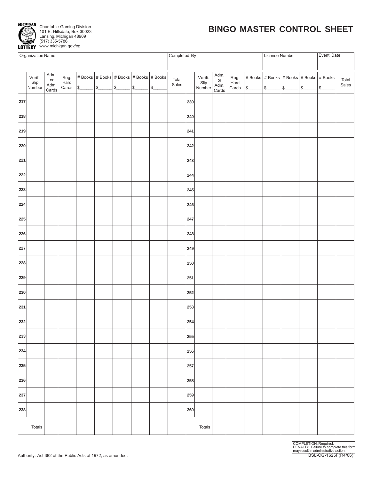

| Organization Name |                |                            |                  |  |                                                                         |  |        |               | Completed By |     |                 |               |                |               | License Number |                                         |        | Event Date    |       |
|-------------------|----------------|----------------------------|------------------|--|-------------------------------------------------------------------------|--|--------|---------------|--------------|-----|-----------------|---------------|----------------|---------------|----------------|-----------------------------------------|--------|---------------|-------|
|                   |                |                            |                  |  |                                                                         |  |        |               |              |     |                 |               |                |               |                |                                         |        |               |       |
|                   |                | Adm.                       |                  |  |                                                                         |  |        |               |              |     |                 | Adm.          |                |               |                |                                         |        |               |       |
|                   | Verifi.        | $\mathop{\sf or}\nolimits$ | Reg.<br>Hard     |  | # Books $\vert$ # Books $\vert$ # Books $\vert$ # Books $\vert$ # Books |  |        |               | Total        |     | Verifi.<br>Slip | or            | Reg.<br>Hard   |               |                | # Books # Books # Books # Books # Books |        |               | Total |
|                   | Slip<br>Number | Adm.<br>Cards              | $\textsf{Cards}$ |  | $ \mathsf{s}\_\_\_\_\$                                                  |  | $\int$ | $\mathcal{L}$ | Sales        |     | Number          | Adm.<br>Cards | $\mbox{Cards}$ | $\frac{1}{2}$ | $s$ $s$        |                                         | $ $ \$ | $\frac{1}{2}$ | Sales |
|                   |                |                            |                  |  |                                                                         |  |        |               |              |     |                 |               |                |               |                |                                         |        |               |       |
| 217               |                |                            |                  |  |                                                                         |  |        |               |              | 239 |                 |               |                |               |                |                                         |        |               |       |
|                   |                |                            |                  |  |                                                                         |  |        |               |              |     |                 |               |                |               |                |                                         |        |               |       |
| 218               |                |                            |                  |  |                                                                         |  |        |               |              | 240 |                 |               |                |               |                |                                         |        |               |       |
|                   |                |                            |                  |  |                                                                         |  |        |               |              |     |                 |               |                |               |                |                                         |        |               |       |
| 219               |                |                            |                  |  |                                                                         |  |        |               |              | 241 |                 |               |                |               |                |                                         |        |               |       |
|                   |                |                            |                  |  |                                                                         |  |        |               |              |     |                 |               |                |               |                |                                         |        |               |       |
| 220               |                |                            |                  |  |                                                                         |  |        |               |              | 242 |                 |               |                |               |                |                                         |        |               |       |
|                   |                |                            |                  |  |                                                                         |  |        |               |              |     |                 |               |                |               |                |                                         |        |               |       |
| 221               |                |                            |                  |  |                                                                         |  |        |               |              | 243 |                 |               |                |               |                |                                         |        |               |       |
|                   |                |                            |                  |  |                                                                         |  |        |               |              |     |                 |               |                |               |                |                                         |        |               |       |
| 222               |                |                            |                  |  |                                                                         |  |        |               |              | 244 |                 |               |                |               |                |                                         |        |               |       |
|                   |                |                            |                  |  |                                                                         |  |        |               |              |     |                 |               |                |               |                |                                         |        |               |       |
| 223               |                |                            |                  |  |                                                                         |  |        |               |              | 245 |                 |               |                |               |                |                                         |        |               |       |
|                   |                |                            |                  |  |                                                                         |  |        |               |              |     |                 |               |                |               |                |                                         |        |               |       |
| 224               |                |                            |                  |  |                                                                         |  |        |               |              | 246 |                 |               |                |               |                |                                         |        |               |       |
| 225               |                |                            |                  |  |                                                                         |  |        |               |              | 247 |                 |               |                |               |                |                                         |        |               |       |
|                   |                |                            |                  |  |                                                                         |  |        |               |              |     |                 |               |                |               |                |                                         |        |               |       |
| 226               |                |                            |                  |  |                                                                         |  |        |               |              | 248 |                 |               |                |               |                |                                         |        |               |       |
|                   |                |                            |                  |  |                                                                         |  |        |               |              |     |                 |               |                |               |                |                                         |        |               |       |
| 227               |                |                            |                  |  |                                                                         |  |        |               |              | 249 |                 |               |                |               |                |                                         |        |               |       |
|                   |                |                            |                  |  |                                                                         |  |        |               |              |     |                 |               |                |               |                |                                         |        |               |       |
| 228               |                |                            |                  |  |                                                                         |  |        |               |              | 250 |                 |               |                |               |                |                                         |        |               |       |
|                   |                |                            |                  |  |                                                                         |  |        |               |              |     |                 |               |                |               |                |                                         |        |               |       |
| 229               |                |                            |                  |  |                                                                         |  |        |               |              | 251 |                 |               |                |               |                |                                         |        |               |       |
|                   |                |                            |                  |  |                                                                         |  |        |               |              |     |                 |               |                |               |                |                                         |        |               |       |
| 230               |                |                            |                  |  |                                                                         |  |        |               |              | 252 |                 |               |                |               |                |                                         |        |               |       |
|                   |                |                            |                  |  |                                                                         |  |        |               |              |     |                 |               |                |               |                |                                         |        |               |       |
| 231               |                |                            |                  |  |                                                                         |  |        |               |              | 253 |                 |               |                |               |                |                                         |        |               |       |
|                   |                |                            |                  |  |                                                                         |  |        |               |              |     |                 |               |                |               |                |                                         |        |               |       |
| 232               |                |                            |                  |  |                                                                         |  |        |               |              | 254 |                 |               |                |               |                |                                         |        |               |       |
|                   |                |                            |                  |  |                                                                         |  |        |               |              |     |                 |               |                |               |                |                                         |        |               |       |
| 233               |                |                            |                  |  |                                                                         |  |        |               |              | 255 |                 |               |                |               |                |                                         |        |               |       |
|                   |                |                            |                  |  |                                                                         |  |        |               |              |     |                 |               |                |               |                |                                         |        |               |       |
| 234               |                |                            |                  |  |                                                                         |  |        |               |              | 256 |                 |               |                |               |                |                                         |        |               |       |
|                   |                |                            |                  |  |                                                                         |  |        |               |              |     |                 |               |                |               |                |                                         |        |               |       |
| 235               |                |                            |                  |  |                                                                         |  |        |               |              | 257 |                 |               |                |               |                |                                         |        |               |       |
| 236               |                |                            |                  |  |                                                                         |  |        |               |              | 258 |                 |               |                |               |                |                                         |        |               |       |
|                   |                |                            |                  |  |                                                                         |  |        |               |              |     |                 |               |                |               |                |                                         |        |               |       |
| 237               |                |                            |                  |  |                                                                         |  |        |               |              | 259 |                 |               |                |               |                |                                         |        |               |       |
|                   |                |                            |                  |  |                                                                         |  |        |               |              |     |                 |               |                |               |                |                                         |        |               |       |
| 238               |                |                            |                  |  |                                                                         |  |        |               |              | 260 |                 |               |                |               |                |                                         |        |               |       |
|                   |                |                            |                  |  |                                                                         |  |        |               |              |     |                 |               |                |               |                |                                         |        |               |       |
|                   |                |                            |                  |  |                                                                         |  |        |               |              |     |                 |               |                |               |                |                                         |        |               |       |
|                   | Totals         |                            |                  |  |                                                                         |  |        |               |              |     | Totals          |               |                |               |                |                                         |        |               |       |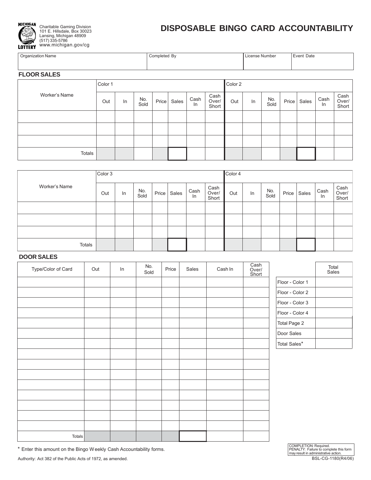

101 E. Hillsdale, Box 30023 Lansing, Michigan 48909 (517) 335-5786 www.michigan.gov/cg

## **DISPOSABLE BINGO CARD ACCOUNTABILITY**

| <b>Organization Name</b> | Completed By | . License Number | Event Date |
|--------------------------|--------------|------------------|------------|
|                          |              |                  |            |

#### **FLOOR SALES**

|               | Color 1 |    |             |       |       |            |                        | Color 2 |    |             |       |       |            |                        |
|---------------|---------|----|-------------|-------|-------|------------|------------------------|---------|----|-------------|-------|-------|------------|------------------------|
| Worker's Name | Out     | In | No.<br>Sold | Price | Sales | Cash<br>In | Cash<br>Over/<br>Short | Out     | In | No.<br>Sold | Price | Sales | Cash<br>In | Cash<br>Over/<br>Short |
|               |         |    |             |       |       |            |                        |         |    |             |       |       |            |                        |
|               |         |    |             |       |       |            |                        |         |    |             |       |       |            |                        |
|               |         |    |             |       |       |            |                        |         |    |             |       |       |            |                        |
| Totals        |         |    |             |       |       |            |                        |         |    |             |       |       |            |                        |

|               | Color 3 |    |             |       |       |               |                        | Color 4 |    |             |       |       |            |                        |
|---------------|---------|----|-------------|-------|-------|---------------|------------------------|---------|----|-------------|-------|-------|------------|------------------------|
| Worker's Name | Out     | In | No.<br>Sold | Price | Sales | Cash<br>$\ln$ | Cash<br>Over/<br>Short | Out     | In | No.<br>Sold | Price | Sales | Cash<br>ln | Cash<br>Over/<br>Short |
|               |         |    |             |       |       |               |                        |         |    |             |       |       |            |                        |
|               |         |    |             |       |       |               |                        |         |    |             |       |       |            |                        |
|               |         |    |             |       |       |               |                        |         |    |             |       |       |            |                        |
| Totals        |         |    |             |       |       |               |                        |         |    |             |       |       |            |                        |

#### **DOOR SALES**

| Type/Color of Card | Out | In | No.<br>Sold | Price | Sales | Cash In | Cash<br>Over/<br>Short |                 | Total<br>Sales |
|--------------------|-----|----|-------------|-------|-------|---------|------------------------|-----------------|----------------|
|                    |     |    |             |       |       |         |                        | Floor - Color 1 |                |
|                    |     |    |             |       |       |         |                        | Floor - Color 2 |                |
|                    |     |    |             |       |       |         |                        | Floor - Color 3 |                |
|                    |     |    |             |       |       |         |                        | Floor - Color 4 |                |
|                    |     |    |             |       |       |         |                        | Total Page 2    |                |
|                    |     |    |             |       |       |         |                        | Door Sales      |                |
|                    |     |    |             |       |       |         |                        | Total Sales*    |                |
|                    |     |    |             |       |       |         |                        |                 |                |
|                    |     |    |             |       |       |         |                        |                 |                |
|                    |     |    |             |       |       |         |                        |                 |                |
|                    |     |    |             |       |       |         |                        |                 |                |
|                    |     |    |             |       |       |         |                        |                 |                |
|                    |     |    |             |       |       |         |                        |                 |                |
|                    |     |    |             |       |       |         |                        |                 |                |
|                    |     |    |             |       |       |         |                        |                 |                |
| Totals             |     |    |             |       |       |         |                        |                 |                |

\* Enter this amount on the Bingo W eekly Cash Accountability forms.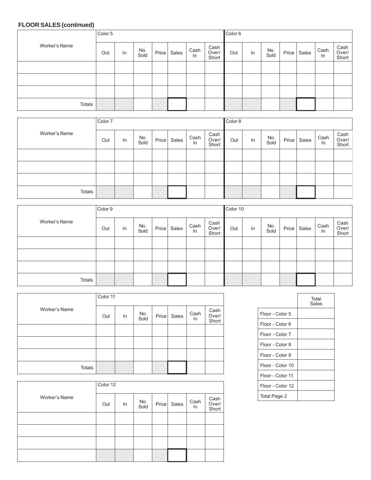#### **FLOOR SALES (continued)**

|               | Color 5 |    |             |       |       |            |                        | Color <sub>6</sub> |    |             |       |       |            |                        |
|---------------|---------|----|-------------|-------|-------|------------|------------------------|--------------------|----|-------------|-------|-------|------------|------------------------|
| Worker's Name | Out     | In | No.<br>Sold | Price | Sales | Cash<br>In | Cash<br>Over/<br>Short | Out                | In | No.<br>Sold | Price | Sales | Cash<br>In | Cash<br>Over/<br>Short |
|               |         |    |             |       |       |            |                        |                    |    |             |       |       |            |                        |
|               |         |    |             |       |       |            |                        |                    |    |             |       |       |            |                        |
|               |         |    |             |       |       |            |                        |                    |    |             |       |       |            |                        |
| Totals        |         |    |             |       |       |            |                        |                    |    |             |       |       |            |                        |

|               | Color 7 |    |             |       |       |            |                        | Color 8 |    |             |       |       |            |                        |
|---------------|---------|----|-------------|-------|-------|------------|------------------------|---------|----|-------------|-------|-------|------------|------------------------|
| Worker's Name | Out     | In | No.<br>Sold | Price | Sales | Cash<br>In | Cash<br>Over/<br>Short | Out     | In | No.<br>Sold | Price | Sales | Cash<br>In | Cash<br>Over/<br>Short |
|               |         |    |             |       |       |            |                        |         |    |             |       |       |            |                        |
|               |         |    |             |       |       |            |                        |         |    |             |       |       |            |                        |
|               |         |    |             |       |       |            |                        |         |    |             |       |       |            |                        |
| Totals        |         |    |             |       |       |            |                        |         |    |             |       |       |            |                        |

|               | Color 9 |    |             |       |       |            |                        | Color 10 |    |             |       |       |            |                        |
|---------------|---------|----|-------------|-------|-------|------------|------------------------|----------|----|-------------|-------|-------|------------|------------------------|
| Worker's Name | Out     | In | No.<br>Sold | Price | Sales | Cash<br>In | Cash<br>Over/<br>Short | Out      | In | No.<br>Sold | Price | Sales | Cash<br>In | Cash<br>Over/<br>Short |
|               |         |    |             |       |       |            |                        |          |    |             |       |       |            |                        |
|               |         |    |             |       |       |            |                        |          |    |             |       |       |            |                        |
|               |         |    |             |       |       |            |                        |          |    |             |       |       |            |                        |
| Totals        |         |    |             |       |       |            |                        |          |    |             |       |       |            |                        |

|               | Color 11 |    |             |       |       |             |                        |
|---------------|----------|----|-------------|-------|-------|-------------|------------------------|
| Worker's Name | Out      | In | No.<br>Sold | Price | Sales | Cash<br>In. | Cash<br>Over/<br>Short |
|               |          |    |             |       |       |             |                        |
|               |          |    |             |       |       |             |                        |
|               |          |    |             |       |       |             |                        |
| <b>Totals</b> |          |    |             |       |       |             |                        |

|               | Color 12 |    |             |       |       |            |                        |
|---------------|----------|----|-------------|-------|-------|------------|------------------------|
| Worker's Name | Out      | In | No.<br>Sold | Price | Sales | Cash<br>In | Cash<br>Over/<br>Short |
|               |          |    |             |       |       |            |                        |
|               |          |    |             |       |       |            |                        |
|               |          |    |             |       |       |            |                        |
|               |          |    |             |       |       |            |                        |

|                  | Total<br>Sales |
|------------------|----------------|
| Floor - Color 5  |                |
| Floor - Color 6  |                |
| Floor - Color 7  |                |
| Floor - Color 8  |                |
| Floor - Color 9  |                |
| Floor - Color 10 |                |
| Floor - Color 11 |                |
| Floor - Color 12 |                |
| Total Page 2     |                |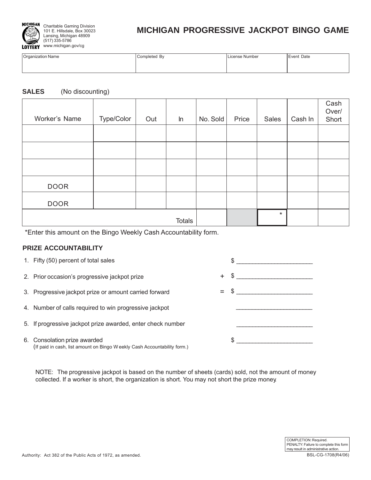

## **MICHIGAN PROGRESSIVE JACKPOT BINGO GAME**

| Organization Name | Completed By | License Number | Event Date |
|-------------------|--------------|----------------|------------|
|                   |              |                |            |
|                   |              |                |            |

#### **SALES** (No discounting)

| Worker's Name | Type/Color | Out | $\ln$         | No. Sold | Price | <b>Sales</b> | Cash In | Cash<br>Over/<br>Short |
|---------------|------------|-----|---------------|----------|-------|--------------|---------|------------------------|
|               |            |     |               |          |       |              |         |                        |
|               |            |     |               |          |       |              |         |                        |
|               |            |     |               |          |       |              |         |                        |
| <b>DOOR</b>   |            |     |               |          |       |              |         |                        |
| <b>DOOR</b>   |            |     |               |          |       |              |         |                        |
|               |            |     | <b>Totals</b> |          |       | $\star$      |         |                        |

\*Enter this amount on the Bingo Weekly Cash Accountability form.

#### **PRIZE ACCOUNTABILITY**

- 
- 2. Prior occasion's progressive jackpot prize  $+$  \$ \_\_\_\_\_\_\_\_\_\_\_\_\_\_\_\_\_\_\_\_\_\_\_\_\_\_\_\_\_
- 3. Progressive jackpot prize or amount carried forward  $=$   $\frac{1}{2}$
- 4. Number of calls required to win progressive jackpot
- 5. If progressive jackpot prize awarded, enter check number
- 6. Consolation prize awarded (If paid in cash, list amount on Bingo W eekly Cash Accountability form.)



NOTE: The progressive jackpot is based on the number of sheets (cards) sold, not the amount of money collected. If a worker is short, the organization is short. You may not short the prize money.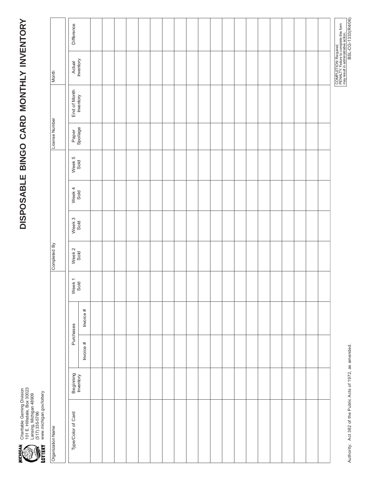

● Charitable Gaming Division<br>↑ 101 E. Hillsdale, Box 30023<br>← Lansing, Michigan 48909<br>← WW. michigan.gov/lottery 101 E. Hillsdale, Box 30023 Charitable Gaming Division www.michigan.gov/lottery Lansing, Michigan 48909 (517) 335-5786

| Organization Name  |                        |             |           |                | Completed By   |                |                |                | License Number    |                           | Month               |            |
|--------------------|------------------------|-------------|-----------|----------------|----------------|----------------|----------------|----------------|-------------------|---------------------------|---------------------|------------|
| Type/Color of Card | Beginning<br>Inventory |             | Purchases | Week 1<br>Sold | Week 2<br>Sold | Week 3<br>Sold | Week 4<br>Sold | Week 5<br>Sold | Paper<br>Spoilage | End of Month<br>Inventory | Actual<br>Inventory | Difference |
|                    |                        | Invoice $#$ | Invoice # |                |                |                |                |                |                   |                           |                     |            |
|                    |                        |             |           |                |                |                |                |                |                   |                           |                     |            |
|                    |                        |             |           |                |                |                |                |                |                   |                           |                     |            |
|                    |                        |             |           |                |                |                |                |                |                   |                           |                     |            |
|                    |                        |             |           |                |                |                |                |                |                   |                           |                     |            |
|                    |                        |             |           |                |                |                |                |                |                   |                           |                     |            |
|                    |                        |             |           |                |                |                |                |                |                   |                           |                     |            |
|                    |                        |             |           |                |                |                |                |                |                   |                           |                     |            |
|                    |                        |             |           |                |                |                |                |                |                   |                           |                     |            |
|                    |                        |             |           |                |                |                |                |                |                   |                           |                     |            |
|                    |                        |             |           |                |                |                |                |                |                   |                           |                     |            |
|                    |                        |             |           |                |                |                |                |                |                   |                           |                     |            |
|                    |                        |             |           |                |                |                |                |                |                   |                           |                     |            |
|                    |                        |             |           |                |                |                |                |                |                   |                           |                     |            |
|                    |                        |             |           |                |                |                |                |                |                   |                           |                     |            |
|                    |                        |             |           |                |                |                |                |                |                   |                           |                     |            |
|                    |                        |             |           |                |                |                |                |                |                   |                           |                     |            |
|                    |                        |             |           |                |                |                |                |                |                   |                           |                     |            |
|                    |                        |             |           |                |                |                |                |                |                   |                           |                     |            |
|                    |                        |             |           |                |                |                |                |                |                   |                           |                     |            |
|                    |                        |             |           |                |                |                |                |                |                   |                           |                     |            |
|                    |                        |             |           |                |                |                |                |                |                   |                           |                     |            |

Authority: Act 382 of the Public Acts of 1972, as amended. BSL-CG-1333(R4/06) Authority: Act 382 of the Public Acts of 1972, as amended.

COMPLETION: Required.<br>PENALTY: Failure to complete this form<br>may result in administrative action.<br>BSL-CG-1333(R4/06) PENALTY: Failure to complete this form may result in administrative action. COMPLETION: Required.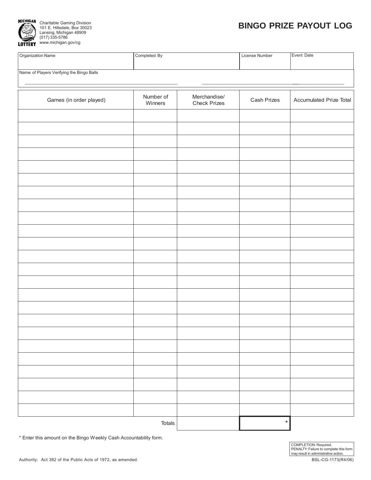

## **BINGO PRIZE PAYOUT LOG**

| Organization Name                         | Completed By         |                                     | License Number | Event Date              |
|-------------------------------------------|----------------------|-------------------------------------|----------------|-------------------------|
| Name of Players Verifying the Bingo Balls |                      |                                     |                |                         |
| Games (in order played)                   | Number of<br>Winners | Merchandise/<br><b>Check Prizes</b> | Cash Prizes    | Accumulated Prize Total |
|                                           |                      |                                     |                |                         |
|                                           |                      |                                     |                |                         |
|                                           |                      |                                     |                |                         |
|                                           |                      |                                     |                |                         |
|                                           |                      |                                     |                |                         |
|                                           |                      |                                     |                |                         |
|                                           |                      |                                     |                |                         |
|                                           |                      |                                     |                |                         |
|                                           |                      |                                     |                |                         |
|                                           |                      |                                     |                |                         |
|                                           |                      |                                     |                |                         |
|                                           |                      |                                     |                |                         |
|                                           |                      |                                     |                |                         |
|                                           |                      |                                     |                |                         |
|                                           |                      |                                     |                |                         |
|                                           |                      |                                     |                |                         |
|                                           |                      |                                     |                |                         |
|                                           |                      |                                     |                |                         |
|                                           |                      |                                     |                |                         |
|                                           |                      |                                     |                |                         |
|                                           |                      |                                     |                |                         |
|                                           | Totals               |                                     | $\star$        |                         |

\* Enter this amount on the Bingo Weekly Cash Accountability form.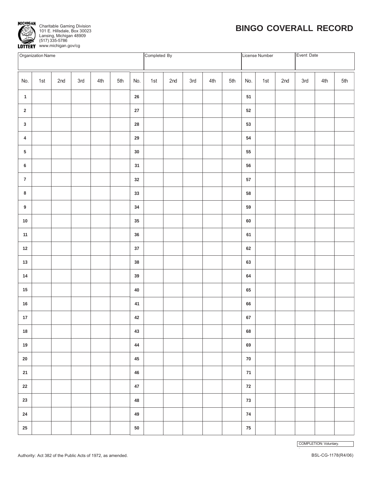

## **BINGO COVERALL RECORD**

|                         | Organization Name |     |     |     |     |            | Completed By |     |     |     |     |            | License Number |     | Event Date |     |     |
|-------------------------|-------------------|-----|-----|-----|-----|------------|--------------|-----|-----|-----|-----|------------|----------------|-----|------------|-----|-----|
| No.                     | 1st               | 2nd | 3rd | 4th | 5th | No.        | 1st          | 2nd | 3rd | 4th | 5th | No.        | 1st            | 2nd | 3rd        | 4th | 5th |
| $\mathbf{1}$            |                   |     |     |     |     | ${\bf 26}$ |              |     |     |     |     | 51         |                |     |            |     |     |
| $\mathbf 2$             |                   |     |     |     |     | ${\bf 27}$ |              |     |     |     |     | $52\,$     |                |     |            |     |     |
| $\mathbf{3}$            |                   |     |     |     |     | ${\bf 28}$ |              |     |     |     |     | $53\,$     |                |     |            |     |     |
| $\overline{\mathbf{4}}$ |                   |     |     |     |     | ${\bf 29}$ |              |     |     |     |     | 54         |                |     |            |     |     |
| 5                       |                   |     |     |     |     | $30\,$     |              |     |     |     |     | 55         |                |     |            |     |     |
| $\bf 6$                 |                   |     |     |     |     | 31         |              |     |     |     |     | 56         |                |     |            |     |     |
| $\overline{7}$          |                   |     |     |     |     | 32         |              |     |     |     |     | ${\bf 57}$ |                |     |            |     |     |
| 8                       |                   |     |     |     |     | $33\,$     |              |     |     |     |     | 58         |                |     |            |     |     |
| 9                       |                   |     |     |     |     | 34         |              |     |     |     |     | 59         |                |     |            |     |     |
| $10\,$                  |                   |     |     |     |     | 35         |              |     |     |     |     | 60         |                |     |            |     |     |
| $11$                    |                   |     |     |     |     | 36         |              |     |     |     |     | 61         |                |     |            |     |     |
| 12                      |                   |     |     |     |     | $37\,$     |              |     |     |     |     | $62\,$     |                |     |            |     |     |
| $13$                    |                   |     |     |     |     | $38\,$     |              |     |     |     |     | 63         |                |     |            |     |     |
| $14$                    |                   |     |     |     |     | $39\,$     |              |     |     |     |     | 64         |                |     |            |     |     |
| $15\,$                  |                   |     |     |     |     | ${\bf 40}$ |              |     |     |     |     | 65         |                |     |            |     |     |
| ${\bf 16}$              |                   |     |     |     |     | 41         |              |     |     |     |     | 66         |                |     |            |     |     |
| $17\,$                  |                   |     |     |     |     | 42         |              |     |     |     |     | $\bf 67$   |                |     |            |     |     |
| $18\,$                  |                   |     |     |     |     | 43         |              |     |     |     |     | 68         |                |     |            |     |     |
| 19                      |                   |     |     |     |     | 44         |              |     |     |     |     | 69         |                |     |            |     |     |
| $20\,$                  |                   |     |     |     |     | $\bf 45$   |              |     |     |     |     | ${\bf 70}$ |                |     |            |     |     |
| 21                      |                   |     |     |     |     | 46         |              |     |     |     |     | ${\bf 71}$ |                |     |            |     |     |
| $22\,$                  |                   |     |     |     |     | $47\,$     |              |     |     |     |     | 72         |                |     |            |     |     |
| 23                      |                   |     |     |     |     | 48         |              |     |     |     |     | 73         |                |     |            |     |     |
| ${\bf 24}$              |                   |     |     |     |     | 49         |              |     |     |     |     | ${\bf 74}$ |                |     |            |     |     |
| $25\,$                  |                   |     |     |     |     | ${\bf 50}$ |              |     |     |     |     | ${\bf 75}$ |                |     |            |     |     |

COMPLETION: Voluntary. .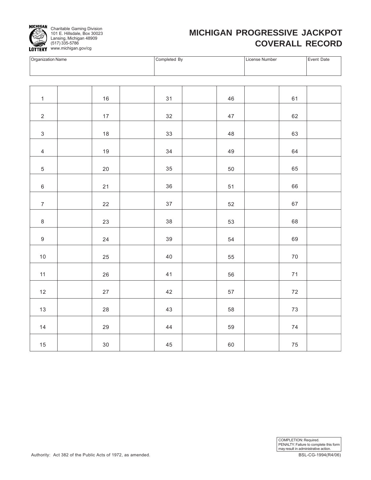

## **MICHIGAN PROGRESSIVE JACKPOT COVERALL RECORD**

| Organization Name | Completed By | License Number | Event Date |
|-------------------|--------------|----------------|------------|
|                   |              |                |            |
|                   |              |                |            |
|                   |              |                |            |

| $\mathbf{1}$     | $16\,$     | 31     | 46         | 61         |  |
|------------------|------------|--------|------------|------------|--|
| $\mathbf 2$      | $17\,$     | 32     | $47\,$     | 62         |  |
| $\mathfrak{S}$   | $18$       | 33     | 48         | 63         |  |
| $\overline{4}$   | 19         | 34     | 49         | 64         |  |
| $\sqrt{5}$       | 20         | 35     | 50         | 65         |  |
| $\,6\,$          | 21         | $36\,$ | 51         | 66         |  |
| $\boldsymbol{7}$ | 22         | $37\,$ | 52         | 67         |  |
| $\,8\,$          | 23         | 38     | 53         | 68         |  |
| $\boldsymbol{9}$ | 24         | 39     | 54         | 69         |  |
| $10\,$           | 25         | 40     | 55         | $70\,$     |  |
|                  |            |        |            |            |  |
| 11               | $26\,$     | 41     | ${\bf 56}$ | $71$       |  |
| $12\,$           | $27\,$     | $42\,$ | 57         | $72\,$     |  |
| $13\,$           | ${\bf 28}$ | $43\,$ | 58         | $73\,$     |  |
| $14$             | 29         | 44     | 59         | $74\,$     |  |
| 15               | $30\,$     | $45\,$ | 60         | ${\bf 75}$ |  |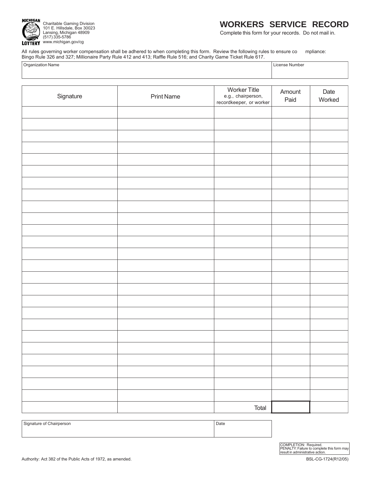

### **WORKERS SERVICE RECORD**

Complete this form for your records. Do not mail in.

All rules governing worker compensation shall be adhered to when completing this form. Review the following rules to ensure co mpliance: Bingo Rule 326 and 327; Millionaire Party Rule 412 and 413; Raffle Rule 516; and Charity Game Ticket Rule 617.

| $\frac{1}{2}$ . Note that $\frac{1}{2}$ is the contract of the $\frac{1}{2}$ internal $\frac{1}{2}$ is the contract of $\frac{1}{2}$ is the contract of $\frac{1}{2}$ is the contract of $\frac{1}{2}$ is the contract of $\frac{1}{2}$ is the contract of $\$ |                |
|----------------------------------------------------------------------------------------------------------------------------------------------------------------------------------------------------------------------------------------------------------------|----------------|
| Organization Name                                                                                                                                                                                                                                              | License Number |
|                                                                                                                                                                                                                                                                |                |

| Signature | <b>Print Name</b> | <b>Worker Title</b><br>e.g., chairperson,<br>recordkeeper, or worker | Amount<br>Paid | Date<br>Worked |
|-----------|-------------------|----------------------------------------------------------------------|----------------|----------------|
|           |                   |                                                                      |                |                |
|           |                   |                                                                      |                |                |
|           |                   |                                                                      |                |                |
|           |                   |                                                                      |                |                |
|           |                   |                                                                      |                |                |
|           |                   |                                                                      |                |                |
|           |                   |                                                                      |                |                |
|           |                   |                                                                      |                |                |
|           |                   |                                                                      |                |                |
|           |                   |                                                                      |                |                |
|           |                   |                                                                      |                |                |
|           |                   |                                                                      |                |                |
|           |                   |                                                                      |                |                |
|           |                   |                                                                      |                |                |
|           |                   |                                                                      |                |                |
|           |                   |                                                                      |                |                |
|           |                   |                                                                      |                |                |
|           |                   |                                                                      |                |                |
|           |                   |                                                                      |                |                |
|           |                   |                                                                      |                |                |
|           |                   |                                                                      |                |                |
|           |                   |                                                                      |                |                |
|           |                   |                                                                      |                |                |
|           |                   |                                                                      |                |                |
|           |                   |                                                                      |                |                |
|           |                   | Total                                                                |                |                |

Signature of Chairperson **Date**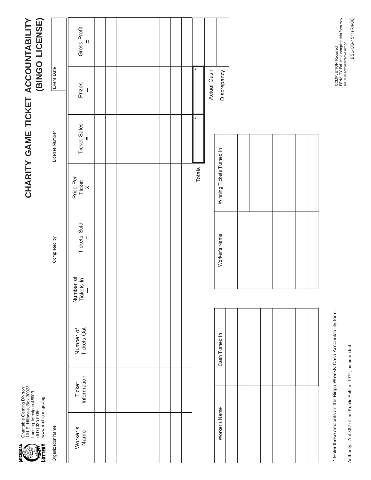Charitable Gaming Divison<br>101 E. Hillsdale, Box 30023<br>Lansing, Michigan 48909<br>(517) 335-5786<br>www.michigan.gov/cg 101 E. Hillsdale, Box 30023 Charitable Gaming Divison Lansing, Michigan 48909 www.michigan.gov/cg (517) 335-5786

# CHARITY GAME TICKET ACCOUNTABILITY (BINGO LICENSE) **CHARITY GAME TICKET ACCOUNTABILITY (BINGO LICENSE)**

|                   | Gross Profit<br>$\mathbf{u}$        |  |  |  |  |        |             |
|-------------------|-------------------------------------|--|--|--|--|--------|-------------|
| Event Date        | Prizes<br>$\overline{\phantom{a}}$  |  |  |  |  | ¥      | Actual Cash |
| License Number    | <b>Ticket Sales</b><br>$\mathbf{u}$ |  |  |  |  | $\ast$ |             |
|                   | Price Per<br>Ticket<br>X            |  |  |  |  | Totals |             |
| Completed by      | <b>Tickets Sold</b><br>$\mathbf{u}$ |  |  |  |  |        |             |
|                   | Number of<br>Tickets In             |  |  |  |  |        |             |
|                   | Number of<br>Tickets Out            |  |  |  |  |        |             |
|                   | Ticket<br>Information               |  |  |  |  |        |             |
| Organization Name | Worker's<br>Name                    |  |  |  |  |        |             |

| Winning Tickets Turned In |  |  |  |  |
|---------------------------|--|--|--|--|
| Worker's Name             |  |  |  |  |
|                           |  |  |  |  |
| Cash Turned In            |  |  |  |  |
| Worker's Name             |  |  |  |  |

**Discrepancy** 

Discrepancy

\* Enter these amounts on the Bingo W eekly Cash Accountability form. \* Enter these amounts on the Bingo W eekly Cash Accountability form.

Authority: Act 382 of the Public Acts of 1972, as amended.

Authority: Act 382 of the Public Acts of 1972, as amended.

BSL-CG-1511(R4/06) COMPLETION: Required.<br>PENALTY: Failure to complete this form may<br>result in administrative action. BSL-CG-1511(R4/06) PENALTY: Failure to complete this form may result in administrative action. COMPLETION: Required.